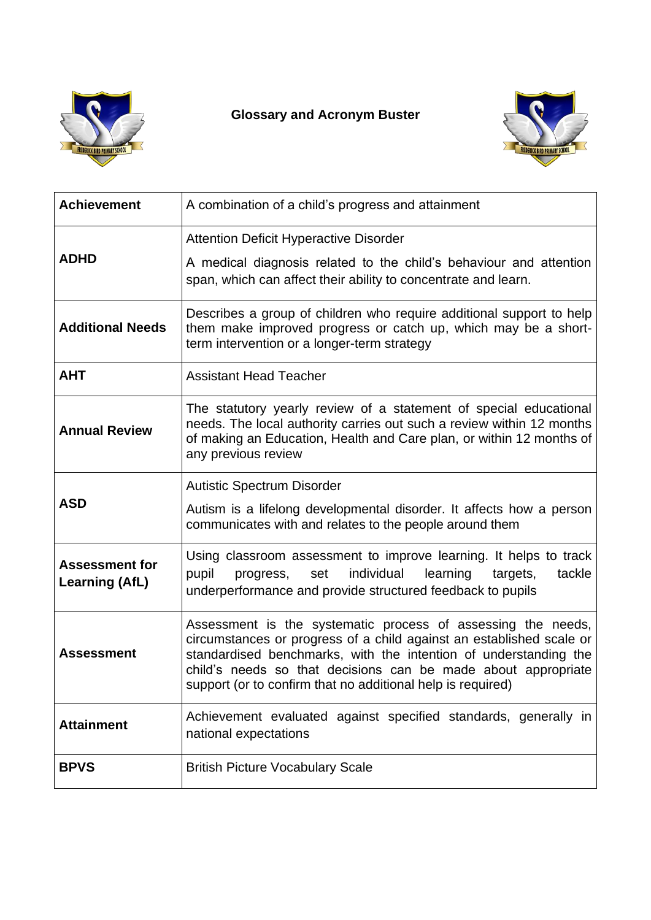

## **Glossary and Acronym Buster**



| <b>Achievement</b>                             | A combination of a child's progress and attainment                                                                                                                                                                                                                                                                                       |
|------------------------------------------------|------------------------------------------------------------------------------------------------------------------------------------------------------------------------------------------------------------------------------------------------------------------------------------------------------------------------------------------|
| <b>ADHD</b>                                    | <b>Attention Deficit Hyperactive Disorder</b><br>A medical diagnosis related to the child's behaviour and attention<br>span, which can affect their ability to concentrate and learn.                                                                                                                                                    |
| <b>Additional Needs</b>                        | Describes a group of children who require additional support to help<br>them make improved progress or catch up, which may be a short-<br>term intervention or a longer-term strategy                                                                                                                                                    |
| <b>AHT</b>                                     | <b>Assistant Head Teacher</b>                                                                                                                                                                                                                                                                                                            |
| <b>Annual Review</b>                           | The statutory yearly review of a statement of special educational<br>needs. The local authority carries out such a review within 12 months<br>of making an Education, Health and Care plan, or within 12 months of<br>any previous review                                                                                                |
| <b>ASD</b>                                     | <b>Autistic Spectrum Disorder</b><br>Autism is a lifelong developmental disorder. It affects how a person<br>communicates with and relates to the people around them                                                                                                                                                                     |
| <b>Assessment for</b><br><b>Learning (AfL)</b> | Using classroom assessment to improve learning. It helps to track<br>pupil<br>individual<br>tackle<br>learning<br>targets,<br>progress,<br>set<br>underperformance and provide structured feedback to pupils                                                                                                                             |
| <b>Assessment</b>                              | Assessment is the systematic process of assessing the needs,<br>circumstances or progress of a child against an established scale or<br>standardised benchmarks, with the intention of understanding the<br>child's needs so that decisions can be made about appropriate<br>support (or to confirm that no additional help is required) |
| <b>Attainment</b>                              | Achievement evaluated against specified standards, generally in<br>national expectations                                                                                                                                                                                                                                                 |
| <b>BPVS</b>                                    | <b>British Picture Vocabulary Scale</b>                                                                                                                                                                                                                                                                                                  |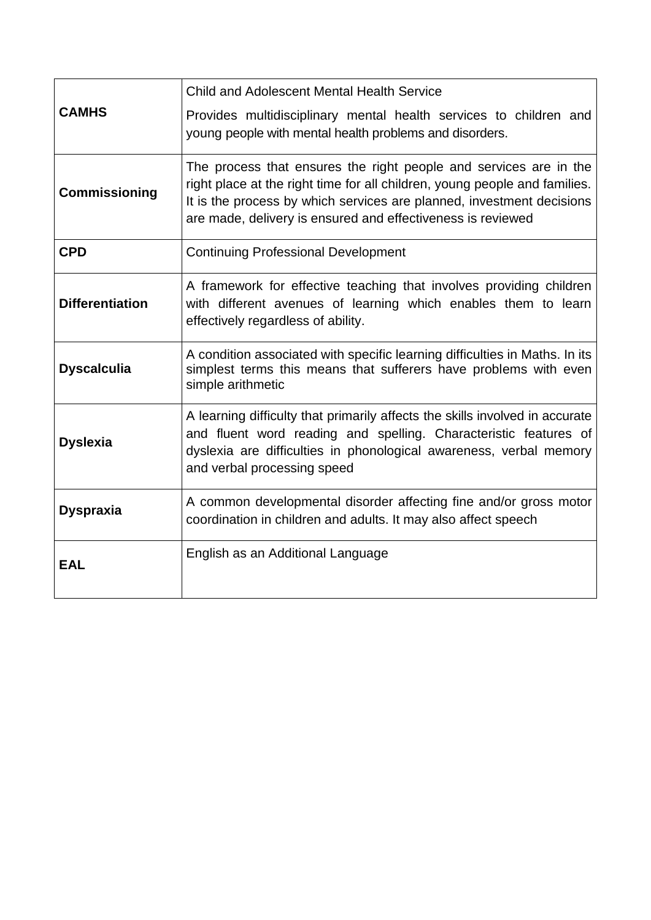| <b>CAMHS</b>           | <b>Child and Adolescent Mental Health Service</b>                                                                                                                                                                                                                                       |
|------------------------|-----------------------------------------------------------------------------------------------------------------------------------------------------------------------------------------------------------------------------------------------------------------------------------------|
|                        | Provides multidisciplinary mental health services to children and<br>young people with mental health problems and disorders.                                                                                                                                                            |
| <b>Commissioning</b>   | The process that ensures the right people and services are in the<br>right place at the right time for all children, young people and families.<br>It is the process by which services are planned, investment decisions<br>are made, delivery is ensured and effectiveness is reviewed |
| <b>CPD</b>             | <b>Continuing Professional Development</b>                                                                                                                                                                                                                                              |
| <b>Differentiation</b> | A framework for effective teaching that involves providing children<br>with different avenues of learning which enables them to learn<br>effectively regardless of ability.                                                                                                             |
| <b>Dyscalculia</b>     | A condition associated with specific learning difficulties in Maths. In its<br>simplest terms this means that sufferers have problems with even<br>simple arithmetic                                                                                                                    |
| <b>Dyslexia</b>        | A learning difficulty that primarily affects the skills involved in accurate<br>and fluent word reading and spelling. Characteristic features of<br>dyslexia are difficulties in phonological awareness, verbal memory<br>and verbal processing speed                                   |
| <b>Dyspraxia</b>       | A common developmental disorder affecting fine and/or gross motor<br>coordination in children and adults. It may also affect speech                                                                                                                                                     |
| <b>EAL</b>             | English as an Additional Language                                                                                                                                                                                                                                                       |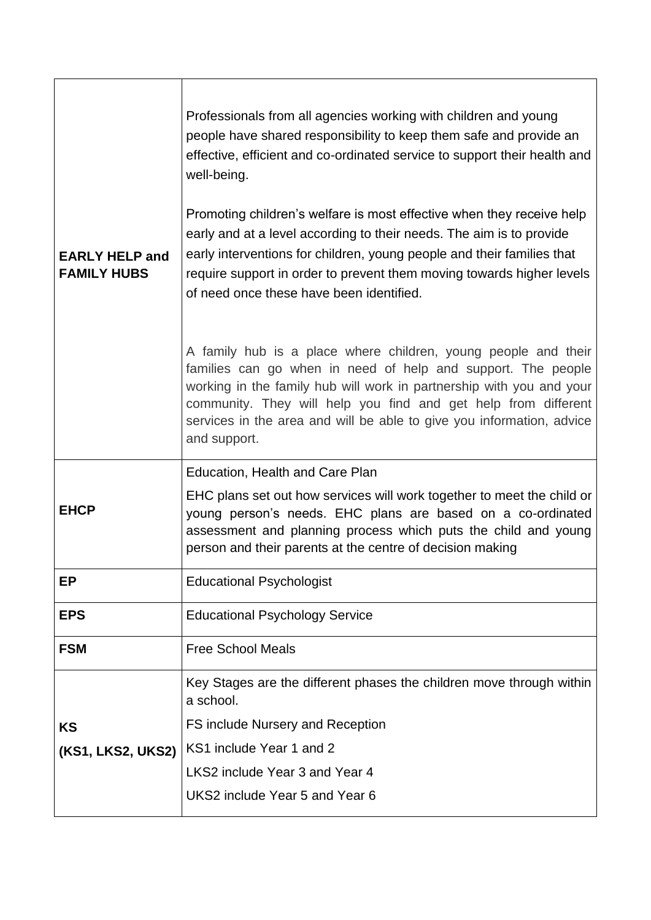| <b>EARLY HELP and</b> | Professionals from all agencies working with children and young<br>people have shared responsibility to keep them safe and provide an<br>effective, efficient and co-ordinated service to support their health and<br>well-being.<br>Promoting children's welfare is most effective when they receive help<br>early and at a level according to their needs. The aim is to provide<br>early interventions for children, young people and their families that |
|-----------------------|--------------------------------------------------------------------------------------------------------------------------------------------------------------------------------------------------------------------------------------------------------------------------------------------------------------------------------------------------------------------------------------------------------------------------------------------------------------|
| <b>FAMILY HUBS</b>    | require support in order to prevent them moving towards higher levels<br>of need once these have been identified.                                                                                                                                                                                                                                                                                                                                            |
|                       | A family hub is a place where children, young people and their<br>families can go when in need of help and support. The people<br>working in the family hub will work in partnership with you and your<br>community. They will help you find and get help from different<br>services in the area and will be able to give you information, advice<br>and support.                                                                                            |
|                       | Education, Health and Care Plan                                                                                                                                                                                                                                                                                                                                                                                                                              |
| <b>EHCP</b>           | EHC plans set out how services will work together to meet the child or<br>young person's needs. EHC plans are based on a co-ordinated<br>assessment and planning process which puts the child and young<br>person and their parents at the centre of decision making                                                                                                                                                                                         |
| ЕP                    | <b>Educational Psychologist</b>                                                                                                                                                                                                                                                                                                                                                                                                                              |
| <b>EPS</b>            | <b>Educational Psychology Service</b>                                                                                                                                                                                                                                                                                                                                                                                                                        |
| <b>FSM</b>            | <b>Free School Meals</b>                                                                                                                                                                                                                                                                                                                                                                                                                                     |
|                       | Key Stages are the different phases the children move through within<br>a school.                                                                                                                                                                                                                                                                                                                                                                            |
| KS                    | FS include Nursery and Reception                                                                                                                                                                                                                                                                                                                                                                                                                             |
| (KS1, LKS2, UKS2)     | KS1 include Year 1 and 2                                                                                                                                                                                                                                                                                                                                                                                                                                     |
|                       | LKS2 include Year 3 and Year 4                                                                                                                                                                                                                                                                                                                                                                                                                               |
|                       | UKS2 include Year 5 and Year 6                                                                                                                                                                                                                                                                                                                                                                                                                               |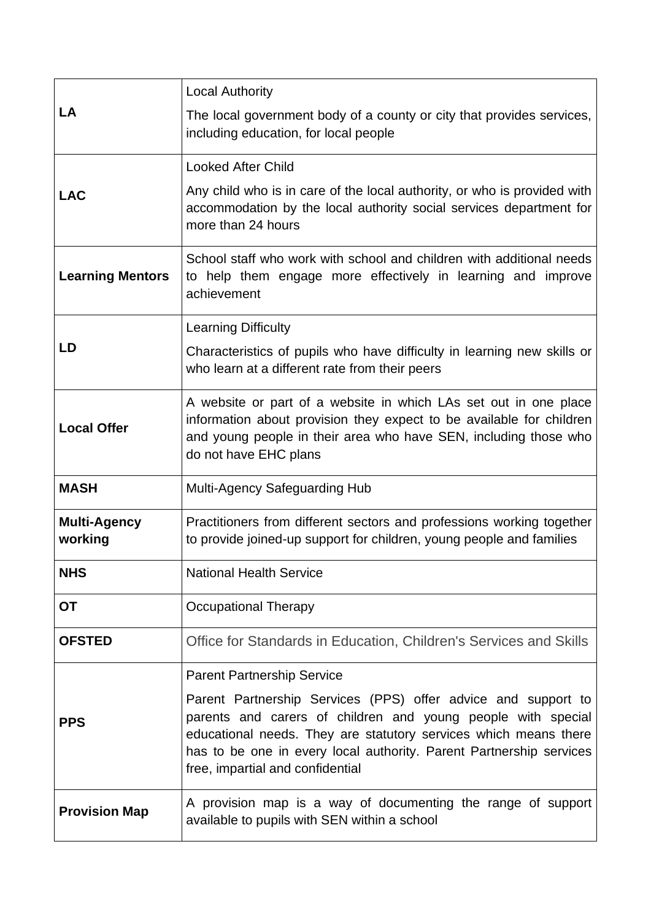| LA                             | <b>Local Authority</b>                                                                                                                                                                                                                                                                                       |
|--------------------------------|--------------------------------------------------------------------------------------------------------------------------------------------------------------------------------------------------------------------------------------------------------------------------------------------------------------|
|                                | The local government body of a county or city that provides services,<br>including education, for local people                                                                                                                                                                                               |
| <b>LAC</b>                     | <b>Looked After Child</b>                                                                                                                                                                                                                                                                                    |
|                                | Any child who is in care of the local authority, or who is provided with<br>accommodation by the local authority social services department for<br>more than 24 hours                                                                                                                                        |
| <b>Learning Mentors</b>        | School staff who work with school and children with additional needs<br>to help them engage more effectively in learning and improve<br>achievement                                                                                                                                                          |
| LD                             | <b>Learning Difficulty</b>                                                                                                                                                                                                                                                                                   |
|                                | Characteristics of pupils who have difficulty in learning new skills or<br>who learn at a different rate from their peers                                                                                                                                                                                    |
| <b>Local Offer</b>             | A website or part of a website in which LAs set out in one place<br>information about provision they expect to be available for children<br>and young people in their area who have SEN, including those who<br>do not have EHC plans                                                                        |
| <b>MASH</b>                    | Multi-Agency Safeguarding Hub                                                                                                                                                                                                                                                                                |
| <b>Multi-Agency</b><br>working | Practitioners from different sectors and professions working together<br>to provide joined-up support for children, young people and families                                                                                                                                                                |
| <b>NHS</b>                     | <b>National Health Service</b>                                                                                                                                                                                                                                                                               |
| <b>OT</b>                      | <b>Occupational Therapy</b>                                                                                                                                                                                                                                                                                  |
| <b>OFSTED</b>                  | Office for Standards in Education, Children's Services and Skills                                                                                                                                                                                                                                            |
| <b>PPS</b>                     | <b>Parent Partnership Service</b>                                                                                                                                                                                                                                                                            |
|                                | Parent Partnership Services (PPS) offer advice and support to<br>parents and carers of children and young people with special<br>educational needs. They are statutory services which means there<br>has to be one in every local authority. Parent Partnership services<br>free, impartial and confidential |
| <b>Provision Map</b>           | A provision map is a way of documenting the range of support<br>available to pupils with SEN within a school                                                                                                                                                                                                 |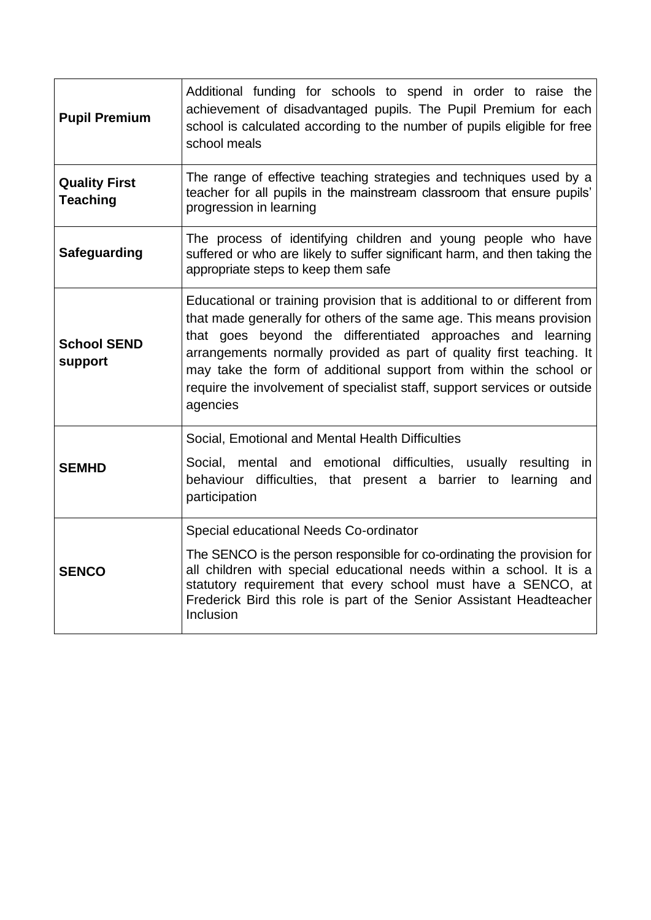| <b>Pupil Premium</b>                    | Additional funding for schools to spend in order to raise the<br>achievement of disadvantaged pupils. The Pupil Premium for each<br>school is calculated according to the number of pupils eligible for free<br>school meals                                                                                                                                                                                                                          |
|-----------------------------------------|-------------------------------------------------------------------------------------------------------------------------------------------------------------------------------------------------------------------------------------------------------------------------------------------------------------------------------------------------------------------------------------------------------------------------------------------------------|
| <b>Quality First</b><br><b>Teaching</b> | The range of effective teaching strategies and techniques used by a<br>teacher for all pupils in the mainstream classroom that ensure pupils'<br>progression in learning                                                                                                                                                                                                                                                                              |
| <b>Safeguarding</b>                     | The process of identifying children and young people who have<br>suffered or who are likely to suffer significant harm, and then taking the<br>appropriate steps to keep them safe                                                                                                                                                                                                                                                                    |
| <b>School SEND</b><br>support           | Educational or training provision that is additional to or different from<br>that made generally for others of the same age. This means provision<br>that goes beyond the differentiated approaches and learning<br>arrangements normally provided as part of quality first teaching. It<br>may take the form of additional support from within the school or<br>require the involvement of specialist staff, support services or outside<br>agencies |
| <b>SEMHD</b>                            | Social, Emotional and Mental Health Difficulties<br>Social, mental and emotional difficulties, usually resulting in<br>behaviour difficulties, that present a barrier to learning and<br>participation                                                                                                                                                                                                                                                |
| <b>SENCO</b>                            | Special educational Needs Co-ordinator<br>The SENCO is the person responsible for co-ordinating the provision for<br>all children with special educational needs within a school. It is a<br>statutory requirement that every school must have a SENCO, at<br>Frederick Bird this role is part of the Senior Assistant Headteacher<br>Inclusion                                                                                                       |